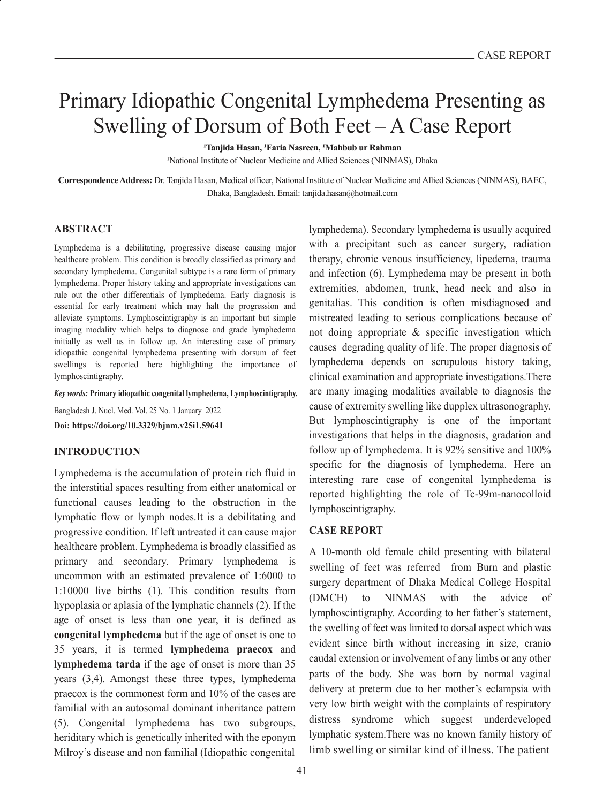# Primary Idiopathic Congenital Lymphedema Presenting as Swelling of Dorsum of Both Feet – A Case Report

**1Tanjida Hasan, 1Faria Nasreen, 1Mahbub ur Rahman**

1National Institute of Nuclear Medicine and Allied Sciences (NINMAS), Dhaka

**Correspondence Address:** Dr. Tanjida Hasan, Medical officer, National Institute of Nuclear Medicine and Allied Sciences (NINMAS), BAEC, Dhaka, Bangladesh. Email: tanjida.hasan@hotmail.com

### **ABSTRACT**

Lymphedema is a debilitating, progressive disease causing major healthcare problem. This condition is broadly classified as primary and secondary lymphedema. Congenital subtype is a rare form of primary lymphedema. Proper history taking and appropriate investigations can rule out the other differentials of lymphedema. Early diagnosis is essential for early treatment which may halt the progression and alleviate symptoms. Lymphoscintigraphy is an important but simple imaging modality which helps to diagnose and grade lymphedema initially as well as in follow up. An interesting case of primary idiopathic congenital lymphedema presenting with dorsum of feet swellings is reported here highlighting the importance of lymphoscintigraphy.

#### *Key words:* **Primary idiopathic congenital lymphedema, Lymphoscintigraphy.**

Bangladesh J. Nucl. Med. Vol. 25 No. 1 January 2022 **Doi: https://doi.org/10.3329/bjnm.v25i1.59641**

### **INTRODUCTION**

Lymphedema is the accumulation of protein rich fluid in the interstitial spaces resulting from either anatomical or functional causes leading to the obstruction in the lymphatic flow or lymph nodes.It is a debilitating and progressive condition. If left untreated it can cause major healthcare problem. Lymphedema is broadly classified as primary and secondary. Primary lymphedema is uncommon with an estimated prevalence of 1:6000 to 1:10000 live births (1). This condition results from hypoplasia or aplasia of the lymphatic channels (2). If the age of onset is less than one year, it is defined as **congenital lymphedema** but if the age of onset is one to 35 years, it is termed **lymphedema praecox** and **lymphedema tarda** if the age of onset is more than 35 years (3,4). Amongst these three types, lymphedema praecox is the commonest form and 10% of the cases are familial with an autosomal dominant inheritance pattern (5). Congenital lymphedema has two subgroups, heriditary which is genetically inherited with the eponym Milroy's disease and non familial (Idiopathic congenital

lymphedema). Secondary lymphedema is usually acquired with a precipitant such as cancer surgery, radiation therapy, chronic venous insufficiency, lipedema, trauma and infection (6). Lymphedema may be present in both extremities, abdomen, trunk, head neck and also in genitalias. This condition is often misdiagnosed and mistreated leading to serious complications because of not doing appropriate & specific investigation which causes degrading quality of life. The proper diagnosis of lymphedema depends on scrupulous history taking, clinical examination and appropriate investigations.There are many imaging modalities available to diagnosis the cause of extremity swelling like dupplex ultrasonography. But lymphoscintigraphy is one of the important investigations that helps in the diagnosis, gradation and follow up of lymphedema. It is 92% sensitive and 100% specific for the diagnosis of lymphedema. Here an interesting rare case of congenital lymphedema is reported highlighting the role of Tc-99m-nanocolloid lymphoscintigraphy.

### **CASE REPORT**

A 10-month old female child presenting with bilateral swelling of feet was referred from Burn and plastic surgery department of Dhaka Medical College Hospital (DMCH) to NINMAS with the advice of lymphoscintigraphy. According to her father's statement, the swelling of feet was limited to dorsal aspect which was evident since birth without increasing in size, cranio caudal extension or involvement of any limbs or any other parts of the body. She was born by normal vaginal delivery at preterm due to her mother's eclampsia with very low birth weight with the complaints of respiratory distress syndrome which suggest underdeveloped lymphatic system.There was no known family history of limb swelling or similar kind of illness. The patient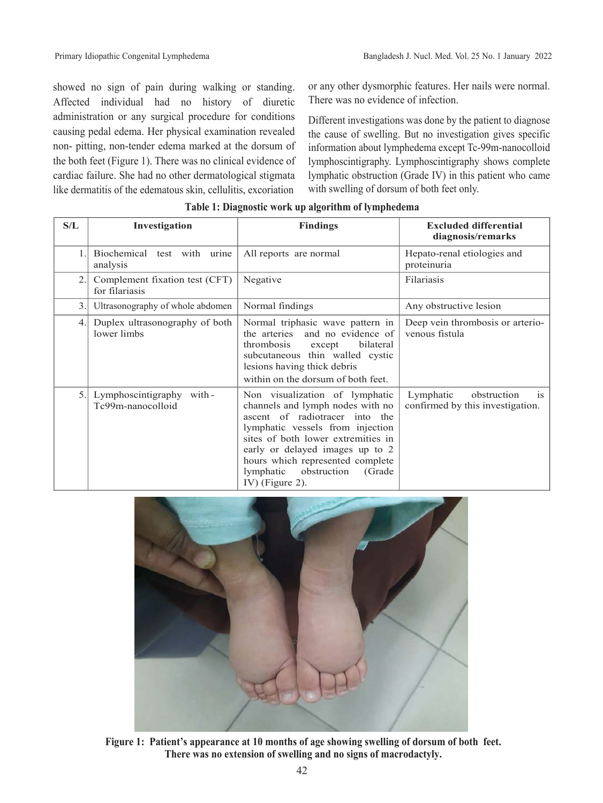showed no sign of pain during walking or standing. Affected individual had no history of diuretic administration or any surgical procedure for conditions causing pedal edema. Her physical examination revealed non- pitting, non-tender edema marked at the dorsum of the both feet (Figure 1). There was no clinical evidence of cardiac failure. She had no other dermatological stigmata like dermatitis of the edematous skin, cellulitis, excoriation

or any other dysmorphic features. Her nails were normal. There was no evidence of infection.

Different investigations was done by the patient to diagnose the cause of swelling. But no investigation gives specific information about lymphedema except Tc-99m-nanocolloid lymphoscintigraphy. Lymphoscintigraphy shows complete lymphatic obstruction (Grade IV) in this patient who came with swelling of dorsum of both feet only.

| S/L | Investigation                                    | <b>Findings</b>                                                                                                                                                                                                                                                                                             | <b>Excluded differential</b><br>diagnosis/remarks                             |
|-----|--------------------------------------------------|-------------------------------------------------------------------------------------------------------------------------------------------------------------------------------------------------------------------------------------------------------------------------------------------------------------|-------------------------------------------------------------------------------|
| 1.  | Biochemical test with urine<br>analysis          | All reports are normal                                                                                                                                                                                                                                                                                      | Hepato-renal etiologies and<br>proteinuria                                    |
| 2.  | Complement fixation test (CFT)<br>for filariasis | Negative                                                                                                                                                                                                                                                                                                    | Filariasis                                                                    |
| 3.  | Ultrasonography of whole abdomen                 | Normal findings                                                                                                                                                                                                                                                                                             | Any obstructive lesion                                                        |
| 4.  | Duplex ultrasonography of both<br>lower limbs    | Normal triphasic wave pattern in<br>the arteries<br>and no evidence of<br>thrombosis<br>bilateral<br>except<br>subcutaneous thin walled cystic<br>lesions having thick debris<br>within on the dorsum of both feet.                                                                                         | Deep vein thrombosis or arterio-<br>venous fistula                            |
| 5.  | Lymphoscintigraphy<br>with-<br>Tc99m-nanocolloid | Non visualization of lymphatic<br>channels and lymph nodes with no<br>ascent of radiotracer into the<br>lymphatic vessels from injection<br>sites of both lower extremities in<br>early or delayed images up to 2<br>hours which represented complete<br>lymphatic obstruction<br>(Grade<br>IV) (Figure 2). | Lymphatic<br>obstruction<br><sup>is</sup><br>confirmed by this investigation. |

## **Table 1: Diagnostic work up algorithm of lymphedema**



**Figure 1: Patient's appearance at 10 months of age showing swelling of dorsum of both feet. There was no extension of swelling and no signs of macrodactyly.**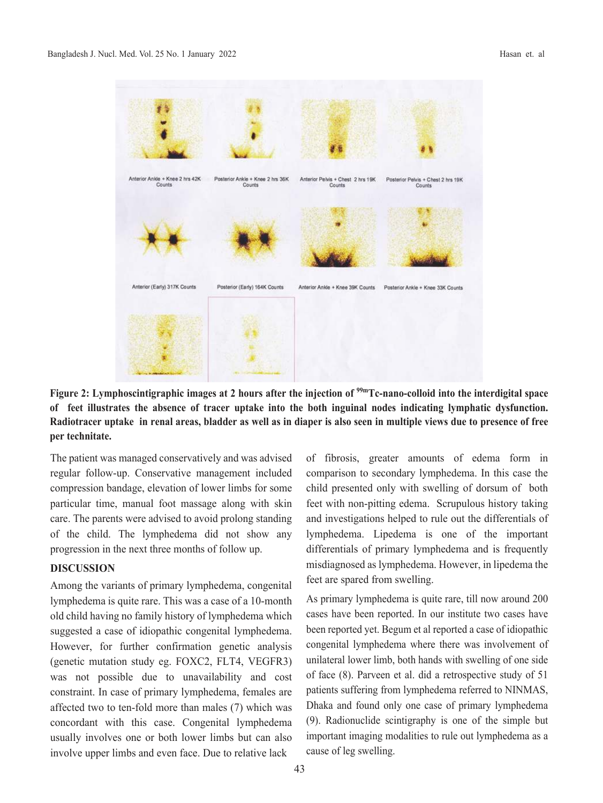

**Figure 2: Lymphoscintigraphic images at 2 hours after the injection of 99mTc-nano-colloid into the interdigital space of feet illustrates the absence of tracer uptake into the both inguinal nodes indicating lymphatic dysfunction. Radiotracer uptake in renal areas, bladder as well as in diaper is also seen in multiple views due to presence of free per technitate.**

The patient was managed conservatively and was advised regular follow-up. Conservative management included compression bandage, elevation of lower limbs for some particular time, manual foot massage along with skin care. The parents were advised to avoid prolong standing of the child. The lymphedema did not show any progression in the next three months of follow up.

### **DISCUSSION**

Among the variants of primary lymphedema, congenital lymphedema is quite rare. This was a case of a 10-month old child having no family history of lymphedema which suggested a case of idiopathic congenital lymphedema. However, for further confirmation genetic analysis (genetic mutation study eg. FOXC2, FLT4, VEGFR3) was not possible due to unavailability and cost constraint. In case of primary lymphedema, females are affected two to ten-fold more than males (7) which was concordant with this case. Congenital lymphedema usually involves one or both lower limbs but can also involve upper limbs and even face. Due to relative lack

of fibrosis, greater amounts of edema form in comparison to secondary lymphedema. In this case the child presented only with swelling of dorsum of both feet with non-pitting edema. Scrupulous history taking and investigations helped to rule out the differentials of lymphedema. Lipedema is one of the important differentials of primary lymphedema and is frequently misdiagnosed as lymphedema. However, in lipedema the feet are spared from swelling.

As primary lymphedema is quite rare, till now around 200 cases have been reported. In our institute two cases have been reported yet. Begum et al reported a case of idiopathic congenital lymphedema where there was involvement of unilateral lower limb, both hands with swelling of one side of face (8). Parveen et al. did a retrospective study of 51 patients suffering from lymphedema referred to NINMAS, Dhaka and found only one case of primary lymphedema (9). Radionuclide scintigraphy is one of the simple but important imaging modalities to rule out lymphedema as a cause of leg swelling.